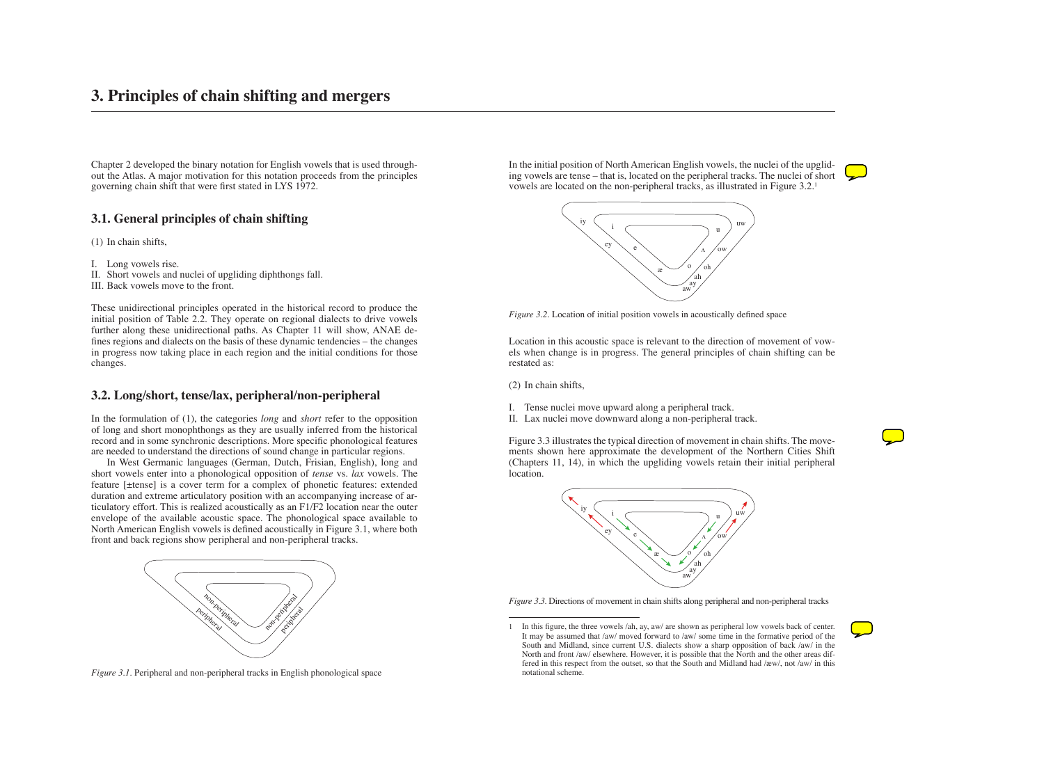Chapter 2 developed the binary notation for English vowels that is used throughout the Atlas. A major motivation for this notation proceeds from the principles governing chain shift that were first stated in LYS 1972.

# **3.1. General principles of chain shifting**

(1) In chain shifts,

- I. Long vowels rise.
- II. Short vowels and nuclei of upgliding diphthongs fall.
- III. Back vowels move to the front.

These unidirectional principles operated in the historical record to produce the initial position of Table 2.2. They operate on regional dialects to drive vowels further along these unidirectional paths. As Chapter 11 will show, ANAE defines regions and dialects on the basis of these dynamic tendencies – the changes in progress now taking place in each region and the initial conditions for those changes.

# **3.2. Long/short, tense/lax, peripheral/non-peripheral**

In the formulation of (1), the categories *long* and *short* refer to the opposition of long and short monophthongs as they are usually inferred from the historical record and in some synchronic descriptions. More specific phonological features are needed to understand the directions of sound change in particular regions.



*Figure 3.1.* Peripheral and non-peripheral tracks in English phonological space

1 In this figure, the three vowels /ah, ay, aw/ are shown as peripheral low vowels back of center. It may be assumed that /aw/ moved forward to /aw/ some time in the formative period of the South and Midland, since current U.S. dialects show a sharp opposition of back /aw/ in the North and front /aw/ elsewhere. However, it is possible that the North and the other areas differed in this respect from the outset, so that the South and Midland had /æw/, not /aw/ in this notational scheme.



In West Germanic languages (German, Dutch, Frisian, English), long and short vowels enter into a phonological opposition of *tense* vs. *lax* vowels. The feature [±tense] is a cover term for a complex of phonetic features: extended duration and extreme articulatory position with an accompanying increase of articulatory effort. This is realized acoustically as an F1/F2 location near the outer envelope of the available acoustic space. The phonological space available to North American English vowels is defined acoustically in Figure 3.1, where both front and back regions show peripheral and non-peripheral tracks.

In the initial position of North American English vowels, the nuclei of the upgliding vowels are tense – that is, located on the peripheral tracks. The nuclei of short vowels are located on the non-peripheral tracks, as illustrated in Figure 3.2.1



Location in this acoustic space is relevant to the direction of movement of vowels when change is in progress. The general principles of chain shifting can be restated as:

(2) In chain shifts,

- I. Tense nuclei move upward along a peripheral track.
- II. Lax nuclei move downward along a non-peripheral track.

Figure 3.3 illustrates the typical direction of movement in chain shifts. The movements shown here approximate the development of the Northern Cities Shift (Chapters 11, 14), in which the upgliding vowels retain their initial peripheral location.





*Figure 3.3.* Directions of movement in chain shifts along peripheral and non-peripheral tracks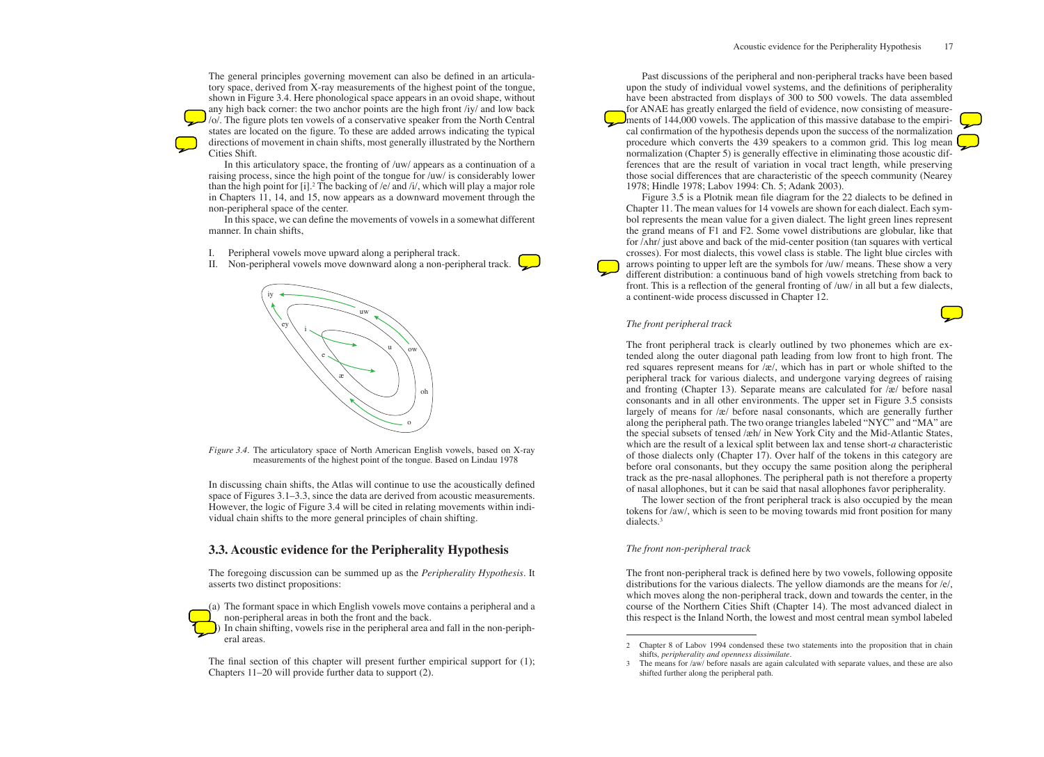17

The general principles governing movement can also be defined in an articulatory space, derived from X-ray measurements of the highest point of the tongue, shown in Figure 3.4. Here phonological space appears in an ovoid shape, without any high back corner: the two anchor points are the high front /iy/ and low back  $\overline{J}$  /o/. The figure plots ten vowels of a conservative speaker from the North Central states are located on the figure. To these are added arrows indicating the typical directions of movement in chain shifts, most generally illustrated by the Northern Cities Shift.

In this articulatory space, the fronting of /uw/ appears as a continuation of a raising process, since the high point of the tongue for /uw/ is considerably lower than the high point for [i].<sup>2</sup> The backing of /e/ and /i/, which will play a major role in Chapters 11, 14, and 15, now appears as a downward movement through the non-peripheral space of the center.

In this space, we can define the movements of vowels in a somewhat different manner. In chain shifts,

In chain shifting, vowels rise in the peripheral area and fall in the non-peripheral areas.

- I. Peripheral vowels move upward along a peripheral track.
- II. Non-peripheral vowels move downward along a non-peripheral track.

In discussing chain shifts, the Atlas will continue to use the acoustically defined space of Figures 3.1–3.3, since the data are derived from acoustic measurements. However, the logic of Figure 3.4 will be cited in relating movements within individual chain shifts to the more general principles of chain shifting.

## **3.3. Acoustic evidence for the Peripherality Hypothesis**

The foregoing discussion can be summed up as the *Peripherality Hypothesis.* It asserts two distinct propositions:



(a) The formant space in which English vowels move contains a peripheral and a non-peripheral areas in both the front and the back.

The final section of this chapter will present further empirical support for (1); Chapters 11–20 will provide further data to support (2).

Past discussions of the peripheral and non-peripheral tracks have been based upon the study of individual vowel systems, and the definitions of peripherality have been abstracted from displays of 300 to 500 vowels. The data assembled for ANAE has greatly enlarged the field of evidence, now consisting of measurements of 144,000 vowels. The application of this massive database to the empirical confirmation of the hypothesis depends upon the success of the normalization procedure which converts the 439 speakers to a common grid. This log mean normalization (Chapter 5) is generally effective in eliminating those acoustic differences that are the result of variation in vocal tract length, while preserving those social differences that are characteristic of the speech community (Nearey 1978; Hindle 1978; Labov 1994: Ch. 5; Adank 2003).

Figure 3.5 is a Plotnik mean file diagram for the 22 dialects to be defined in Chapter 11. The mean values for 14 vowels are shown for each dialect. Each symbol represents the mean value for a given dialect. The light green lines represent the grand means of F1 and F2. Some vowel distributions are globular, like that for  $/\Delta$ hr/ just above and back of the mid-center position (tan squares with vertical crosses). For most dialects, this vowel class is stable. The light blue circles with arrows pointing to upper left are the symbols for /uw/ means. These show a very different distribution: a continuous band of high vowels stretching from back to front. This is a reflection of the general fronting of /uw/ in all but a few dialects, a continent-wide process discussed in Chapter 12.



*Figure 3.4.* The articulatory space of North American English vowels, based on X-ray measurements of the highest point of the tongue. Based on Lindau 1978

### *The front peripheral track*

The front peripheral track is clearly outlined by two phonemes which are extended along the outer diagonal path leading from low front to high front. The red squares represent means for /æ/, which has in part or whole shifted to the peripheral track for various dialects, and undergone varying degrees of raising and fronting (Chapter 13). Separate means are calculated for /æ/ before nasal consonants and in all other environments. The upper set in Figure 3.5 consists largely of means for /æ/ before nasal consonants, which are generally further along the peripheral path. The two orange triangles labeled "NYC" and "MA" are the special subsets of tensed /æh/ in New York City and the Mid-Atlantic States, which are the result of a lexical split between lax and tense short-*a* characteristic of those dialects only (Chapter 17). Over half of the tokens in this category are before oral consonants, but they occupy the same position along the peripheral track as the pre-nasal allophones. The peripheral path is not therefore a property of nasal allophones, but it can be said that nasal allophones favor peripherality. The lower section of the front peripheral track is also occupied by the mean

tokens for /aw/, which is seen to be moving towards mid front position for many dialects.3

## *The front non-peripheral track*

The front non-peripheral track is defined here by two vowels, following opposite distributions for the various dialects. The yellow diamonds are the means for /e/, which moves along the non-peripheral track, down and towards the center, in the course of the Northern Cities Shift (Chapter 14). The most advanced dialect in this respect is the Inland North, the lowest and most central mean symbol labeled



<sup>2</sup> Chapter 8 of Labov 1994 condensed these two statements into the proposition that in chain shifts*, peripherality and openness dissimilate*.

<sup>3</sup> The means for /aw/ before nasals are again calculated with separate values, and these are also shifted further along the peripheral path.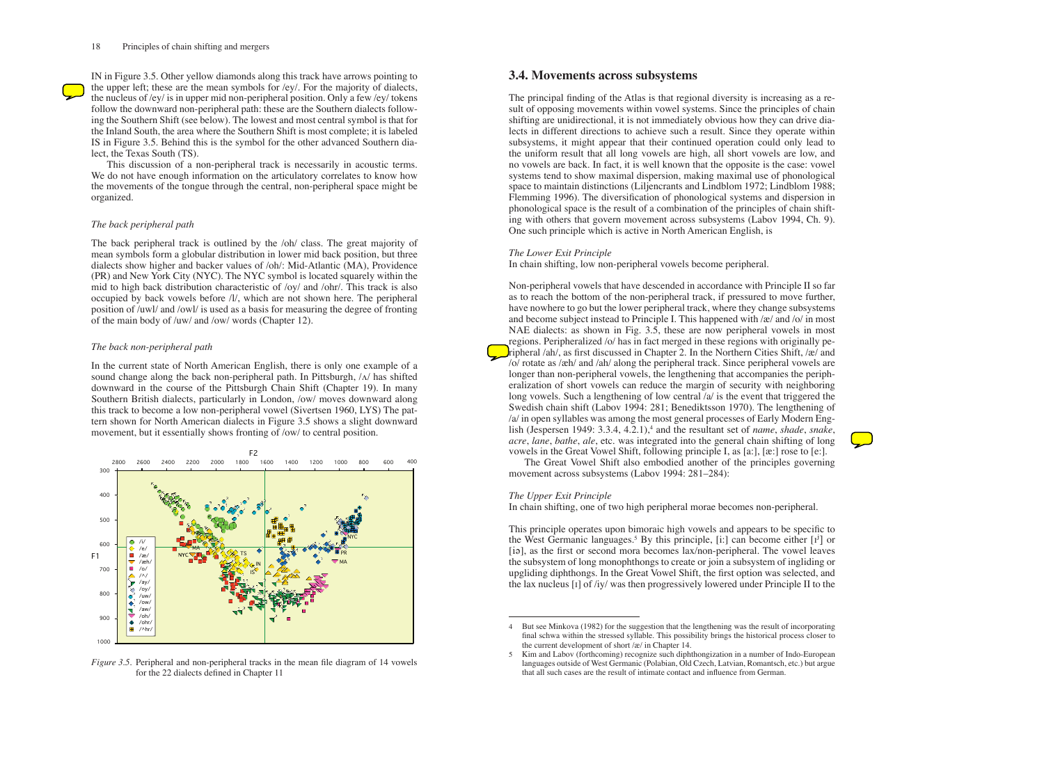IN in Figure 3.5. Other yellow diamonds along this track have arrows pointing to the upper left; these are the mean symbols for /ey/. For the majority of dialects, the nucleus of /ey/ is in upper mid non-peripheral position. Only a few /ey/ tokens follow the downward non-peripheral path: these are the Southern dialects following the Southern Shift (see below). The lowest and most central symbol is that for the Inland South, the area where the Southern Shift is most complete; it is labeled IS in Figure 3.5. Behind this is the symbol for the other advanced Southern dialect, the Texas South (TS).

This discussion of a non-peripheral track is necessarily in acoustic terms. We do not have enough information on the articulatory correlates to know how the movements of the tongue through the central, non-peripheral space might be organized.

#### *The back peripheral path*

The back peripheral track is outlined by the /oh/ class. The great majority of mean symbols form a globular distribution in lower mid back position, but three dialects show higher and backer values of /oh/: Mid-Atlantic (MA), Providence (PR) and New York City (NYC). The NYC symbol is located squarely within the mid to high back distribution characteristic of /oy/ and /ohr/. This track is also occupied by back vowels before /l/, which are not shown here. The peripheral position of /uwl/ and /owl/ is used as a basis for measuring the degree of fronting of the main body of /uw/ and /ow/ words (Chapter 12).

### *The back non-peripheral path*

In the current state of North American English, there is only one example of a sound change along the back non-peripheral path. In Pittsburgh,  $\Lambda$  has shifted downward in the course of the Pittsburgh Chain Shift (Chapter 19). In many Southern British dialects, particularly in London, /ow/ moves downward along this track to become a low non-peripheral vowel (Sivertsen 1960, LYS) The pattern shown for North American dialects in Figure 3.5 shows a slight downward movement, but it essentially shows fronting of /ow/ to central position.

# **3.4. Movements across subsystems**

The principal finding of the Atlas is that regional diversity is increasing as a result of opposing movements within vowel systems. Since the principles of chain shifting are unidirectional, it is not immediately obvious how they can drive dialects in different directions to achieve such a result. Since they operate within subsystems, it might appear that their continued operation could only lead to the uniform result that all long vowels are high, all short vowels are low, and no vowels are back. In fact, it is well known that the opposite is the case: vowel systems tend to show maximal dispersion, making maximal use of phonological space to maintain distinctions (Liljencrants and Lindblom 1972; Lindblom 1988; Flemming 1996). The diversification of phonological systems and dispersion in phonological space is the result of a combination of the principles of chain shifting with others that govern movement across subsystems (Labov 1994, Ch. 9). One such principle which is active in North American English, is

#### *The Lower Exit Principle*

In chain shifting, low non-peripheral vowels become peripheral.

Non-peripheral vowels that have descended in accordance with Principle II so far as to reach the bottom of the non-peripheral track, if pressured to move further, have nowhere to go but the lower peripheral track, where they change subsystems and become subject instead to Principle I. This happened with  $\alpha$  and  $\alpha$  in most NAE dialects: as shown in Fig. 3.5, these are now peripheral vowels in most regions. Peripheralized /o/ has in fact merged in these regions with originally peripheral /ah/, as first discussed in Chapter 2. In the Northern Cities Shift, /æ/ and /o/ rotate as /æh/ and /ah/ along the peripheral track. Since peripheral vowels are longer than non-peripheral vowels, the lengthening that accompanies the peripheralization of short vowels can reduce the margin of security with neighboring long vowels. Such a lengthening of low central /a/ is the event that triggered the Swedish chain shift (Labov 1994: 281; Benediktsson 1970). The lengthening of /a/ in open syllables was among the most general processes of Early Modern English (Jespersen 1949: 3.3.4, 4.2.1),<sup>4</sup> and the resultant set of *name*, *shade*, *snake*, *acre*, *lane*, *bathe*, *ale*, etc. was integrated into the general chain shifting of long vowels in the Great Vowel Shift, following principle I, as [a:], [æ:] rose to [e:].

The Great Vowel Shift also embodied another of the principles governing movement across subsystems (Labov 1994: 281–284):

### *The Upper Exit Principle*

In chain shifting, one of two high peripheral morae becomes non-peripheral.

This principle operates upon bimoraic high vowels and appears to be specific to the West Germanic languages.<sup>5</sup> By this principle, [i:] can become either  $[I^J]$  or [ia], as the first or second mora becomes lax/non-peripheral. The vowel leaves the subsystem of long monophthongs to create or join a subsystem of ingliding or upgliding diphthongs. In the Great Vowel Shift, the first option was selected, and the lax nucleus [I] of /iy/ was then progressively lowered under Principle II to the

- 
- 
- 
- 
- 
- 
- 
- 
- 
- 
- 
- 
- 
- 
- 
- 
- 
- 
- 
- 
- 
- 
- 
- 



*Figure 3.5.* Peripheral and non-peripheral tracks in the mean file diagram of 14 vowels for the 22 dialects defined in Chapter 11

<sup>4</sup> But see Minkova (1982) for the suggestion that the lengthening was the result of incorporating final schwa within the stressed syllable. This possibility brings the historical process closer to the current development of short /æ/ in Chapter 14.

<sup>5</sup> Kim and Labov (forthcoming) recognize such diphthongization in a number of Indo-European languages outside of West Germanic (Polabian, Old Czech, Latvian, Romantsch, etc.) but argue that all such cases are the result of intimate contact and influence from German.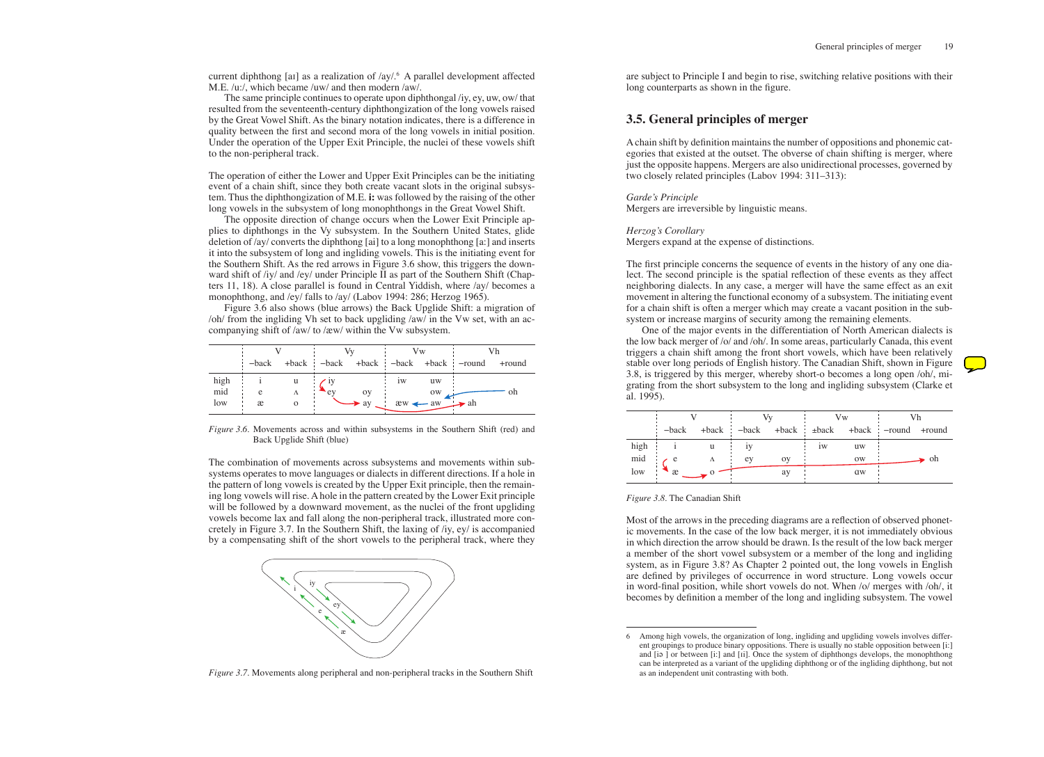

current diphthong [aI] as a realization of /ay/.6 A parallel development affected M.E. /u:/, which became /uw/ and then modern /aw/.

The same principle continues to operate upon diphthongal /iy, ey, uw, ow/ that resulted from the seventeenth-century diphthongization of the long vowels raised by the Great Vowel Shift. As the binary notation indicates, there is a difference in quality between the first and second mora of the long vowels in initial position. Under the operation of the Upper Exit Principle, the nuclei of these vowels shift to the non-peripheral track.

The operation of either the Lower and Upper Exit Principles can be the initiating event of a chain shift, since they both create vacant slots in the original subsystem. Thus the diphthongization of M.E. **i:** was followed by the raising of the other long vowels in the subsystem of long monophthongs in the Great Vowel Shift.

The opposite direction of change occurs when the Lower Exit Principle applies to diphthongs in the Vy subsystem. In the Southern United States, glide deletion of /ay/ converts the diphthong [ai] to a long monophthong [a:] and inserts it into the subsystem of long and ingliding vowels. This is the initiating event for the Southern Shift. As the red arrows in Figure 3.6 show, this triggers the downward shift of /iy/ and /ey/ under Principle II as part of the Southern Shift (Chapters 11, 18). A close parallel is found in Central Yiddish, where /ay/ becomes a monophthong, and /ey/ falls to /ay/ (Labov 1994: 286; Herzog 1965).

Figure 3.6 also shows (blue arrows) the Back Upglide Shift: a migration of /oh/ from the ingliding Vh set to back upgliding /aw/ in the Vw set, with an accompanying shift of /aw/ to /æw/ within the Vw subsystem.

|      |   |  |    |            | Vw |                              |                                                   |    |
|------|---|--|----|------------|----|------------------------------|---------------------------------------------------|----|
|      |   |  |    |            |    |                              | -back +back +back +back +back +back -round +round |    |
| high |   |  |    |            | 1W | <b>uw</b>                    |                                                   |    |
| mid  | e |  | ev | oy         |    | ow                           |                                                   | oh |
| low  | æ |  |    | $\cdot$ ay |    | $x \rightarrow \text{aw}$ ah |                                                   |    |

*Figure 3.6.* Movements across and within subsystems in the Southern Shift (red) and Back Upglide Shift (blue)

The combination of movements across subsystems and movements within subsystems operates to move languages or dialects in different directions. If a hole in the pattern of long vowels is created by the Upper Exit principle, then the remaining long vowels will rise. A hole in the pattern created by the Lower Exit principle will be followed by a downward movement, as the nuclei of the front upgliding vowels become lax and fall along the non-peripheral track, illustrated more concretely in Figure 3.7. In the Southern Shift, the laxing of /iy, ey/ is accompanied by a compensating shift of the short vowels to the peripheral track, where they



*Figure 3.7.* Movements along peripheral and non-peripheral tracks in the Southern Shift

are subject to Principle I and begin to rise, switching relative positions with their long counterparts as shown in the figure.

## **3.5. General principles of merger**

A chain shift by definition maintains the number of oppositions and phonemic categories that existed at the outset. The obverse of chain shifting is merger, where just the opposite happens. Mergers are also unidirectional processes, governed by two closely related principles (Labov 1994: 311–313):

## *Garde's Principle*

Mergers are irreversible by linguistic means.

#### *Herzog's Corollary*

Mergers expand at the expense of distinctions.

The first principle concerns the sequence of events in the history of any one dialect. The second principle is the spatial reflection of these events as they affect neighboring dialects. In any case, a merger will have the same effect as an exit movement in altering the functional economy of a subsystem. The initiating event for a chain shift is often a merger which may create a vacant position in the subsystem or increase margins of security among the remaining elements.

One of the major events in the differentiation of North American dialects is the low back merger of /o/ and /oh/. In some areas, particularly Canada, this event triggers a chain shift among the front short vowels, which have been relatively stable over long periods of English history. The Canadian Shift, shown in Figure 3.8, is triggered by this merger, whereby short-o becomes a long open /oh/, migrating from the short subsystem to the long and ingliding subsystem (Clarke et al. 1995).

|      |          |                                                                           |    |    | Vw |           | Vh |      |
|------|----------|---------------------------------------------------------------------------|----|----|----|-----------|----|------|
|      |          | $-\text{back}$ +back $-\text{back}$ +back +back +back +back +cound +round |    |    |    |           |    |      |
| high |          |                                                                           |    |    | 1W | uw        |    |      |
| mid  |          |                                                                           | ey | oy |    | <b>OW</b> |    | ∙ oh |
| low  | $\alpha$ | $\sim$ 0                                                                  |    | ay |    | aw        |    |      |

#### *Figure 3.8.* The Canadian Shift

Most of the arrows in the preceding diagrams are a reflection of observed phonetic movements. In the case of the low back merger, it is not immediately obvious in which direction the arrow should be drawn. Is the result of the low back merger a member of the short vowel subsystem or a member of the long and ingliding system, as in Figure 3.8? As Chapter 2 pointed out, the long vowels in English are defined by privileges of occurrence in word structure. Long vowels occur in word-final position, while short vowels do not. When /o/ merges with /oh/, it becomes by definition a member of the long and ingliding subsystem. The vowel

<sup>6</sup> Among high vowels, the organization of long, ingliding and upgliding vowels involves different groupings to produce binary oppositions. There is usually no stable opposition between [i:] and  $[i]$  or between  $[i]$  and  $[i]$ . Once the system of diphthongs develops, the monophthong can be interpreted as a variant of the upgliding diphthong or of the ingliding diphthong, but not as an independent unit contrasting with both.